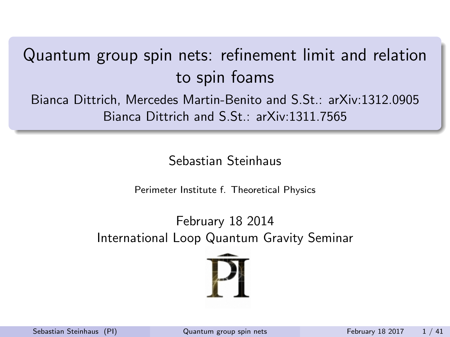# <span id="page-0-0"></span>Quantum group spin nets: refinement limit and relation to spin foams

Bianca Dittrich, Mercedes Martin-Benito and S.St.: arXiv:1312.0905 Bianca Dittrich and S.St.: arXiv:1311.7565

Sebastian Steinhaus

Perimeter Institute f. Theoretical Physics

February 18 2014 International Loop Quantum Gravity Seminar

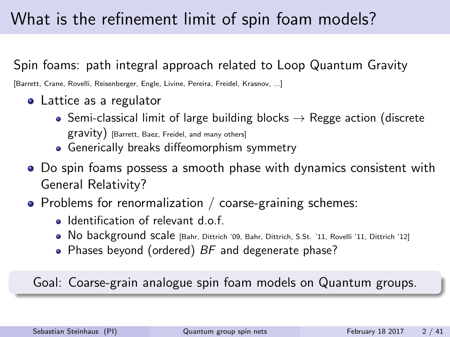## What is the refinement limit of spin foam models?

#### Spin foams: path integral approach related to Loop Quantum Gravity

[Barrett, Crane, Rovelli, Reisenberger, Engle, Livine, Pereira, Freidel, Krasnov, ...]

- **•** Lattice as a regulator
	- Semi-classical limit of large building blocks  $\rightarrow$  Regge action (discrete gravity) [Barrett, Baez, Freidel, and many others]
	- Generically breaks diffeomorphism symmetry
- Do spin foams possess a smooth phase with dynamics consistent with General Relativity?
- Problems for renormalization  $/$  coarse-graining schemes:
	- **Identification of relevant d.o.f.**
	- No background scale [Bahr, Dittrich '09, Bahr, Dittrich, S.St. '11, Rovelli '11, Dittrich '12]
	- Phases beyond (ordered)  $BF$  and degenerate phase?

Goal: Coarse-grain analogue spin foam models on Quantum groups.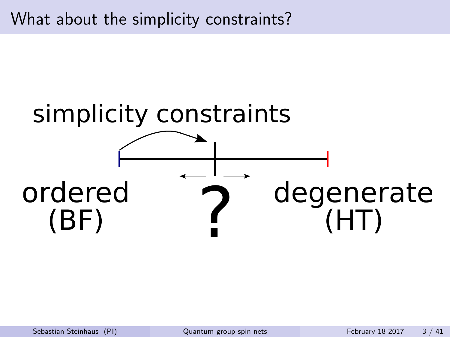What about the simplicity constraints?

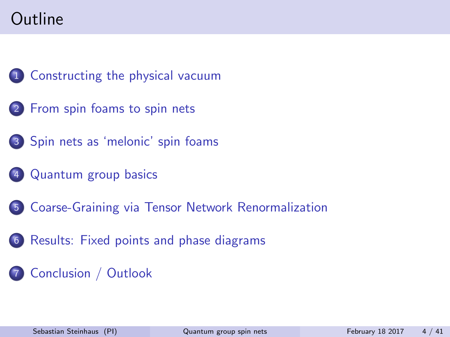# Outline



- [From spin foams to spin nets](#page-9-0)
- [Spin nets as 'melonic' spin foams](#page-14-0)
	- [Quantum group basics](#page-17-0)
- [Coarse-Graining via Tensor Network Renormalization](#page-23-0)
- [Results: Fixed points and phase diagrams](#page-30-0)

#### [Conclusion / Outlook](#page-40-0)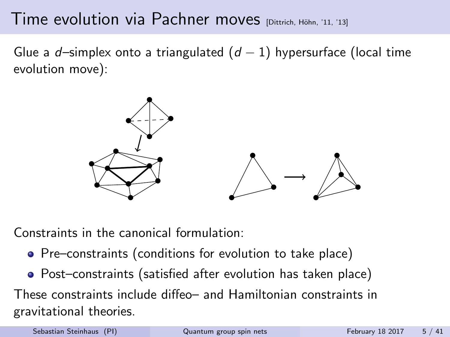#### <span id="page-4-0"></span>Time evolution via Pachner moves [Dittrich, Höhn, '11, '13]

Glue a d–simplex onto a triangulated  $(d - 1)$  hypersurface (local time evolution move):



Constraints in the canonical formulation:

- Pre–constraints (conditions for evolution to take place)
- Post–constraints (satisfied after evolution has taken place)

These constraints include diffeo– and Hamiltonian constraints in gravitational theories.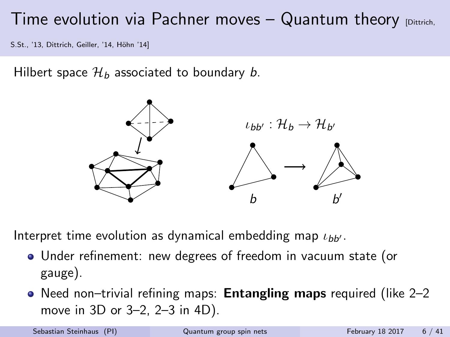#### Time evolution via Pachner moves – Quantum theory  $p_{\text{Dirich,}}$

S.St., '13, Dittrich, Geiller, '14, Höhn '14]

Hilbert space  $\mathcal{H}_b$  associated to boundary b.



Interpret time evolution as dynamical embedding map  $\iota_{bb'}$ .

- Under refinement: new degrees of freedom in vacuum state (or gauge).
- Need non–trivial refining maps: **Entangling maps** required (like  $2-2$ ) move in 3D or 3–2, 2–3 in 4D).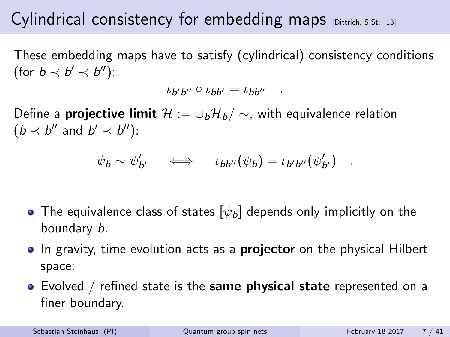# Cylindrical consistency for embedding maps  $D$  [Dittrich, S.St. '13]

These embedding maps have to satisfy (cylindrical) consistency conditions (for  $b \prec b' \prec b'$ ):

 $\iota_{b'b''} \circ \iota_{bb'} = \iota_{bb''}$  .

Define a **projective limit**  $\mathcal{H} := \cup_b \mathcal{H}_b / \sim$ , with equivalence relation  $(b \prec b''$  and  $b' \prec b'')$ :

$$
\psi_b \sim \psi'_{b'} \quad \iff \quad \iota_{bb''}(\psi_b) = \iota_{b'b''}(\psi'_{b'}) \quad .
$$

- The equivalence class of states  $[\psi_b]$  depends only implicitly on the boundary b.
- In gravity, time evolution acts as a **projector** on the physical Hilbert space:
- $\bullet$  Evolved / refined state is the same physical state represented on a finer boundary.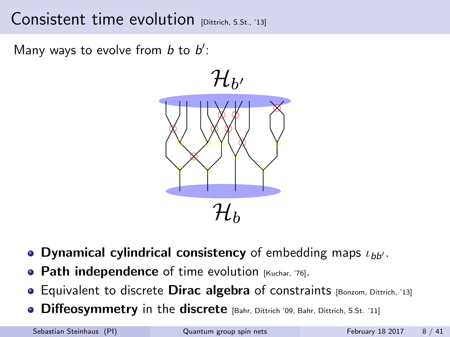#### Consistent time evolution [Dittrich, S.St., '13]

Many ways to evolve from  $b$  to  $b'$ :



- Dynamical cylindrical consistency of embedding maps  $\iota_{bb'}$ .
- $\bullet$  Path independence of time evolution [Kuchar, '76].
- Equivalent to discrete **Dirac algebra** of constraints [Bonzom, Dittrich, '13]
- **Diffeosymmetry in the discrete** [Bahr, Dittrich '09, Bahr, Dittrich, S.St. '11]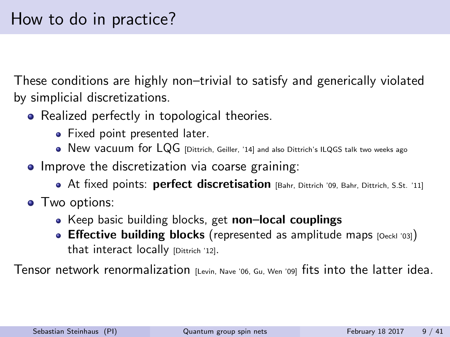These conditions are highly non–trivial to satisfy and generically violated by simplicial discretizations.

- Realized perfectly in topological theories.
	- Fixed point presented later.
	- New vacuum for LQG [Dittrich, Geiller, '14] and also Dittrich's ILQGS talk two weeks ago
- Improve the discretization via coarse graining:
	- At fixed points: perfect discretisation [Bahr, Dittrich '09, Bahr, Dittrich, S.St. '11]
- Two options:
	- Keep basic building blocks, get non-local couplings
	- **Effective building blocks** (represented as amplitude maps  $[Oeck]$  '03]) that interact locally [Dittrich '12].

Tensor network renormalization  $L_{\text{Levin, Nave } 06, \, \text{Gu, Wen '091}}$  fits into the latter idea.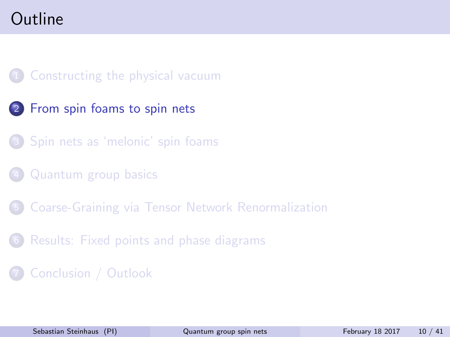# <span id="page-9-0"></span>Outline



- [From spin foams to spin nets](#page-9-0)
- [Spin nets as 'melonic' spin foams](#page-14-0)
- [Quantum group basics](#page-17-0)
- [Coarse-Graining via Tensor Network Renormalization](#page-23-0)
- [Results: Fixed points and phase diagrams](#page-30-0)
- [Conclusion / Outlook](#page-40-0)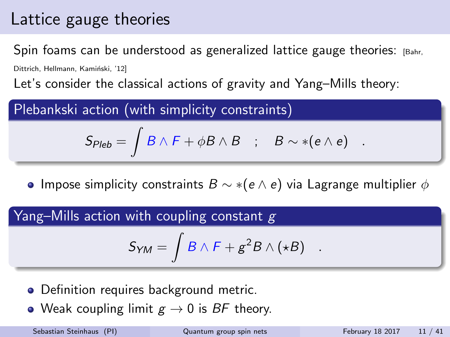### Lattice gauge theories

Spin foams can be understood as generalized lattice gauge theories:  $E<sub>labr</sub>$ 

Dittrich, Hellmann, Kamiński, '12]

Let's consider the classical actions of gravity and Yang–Mills theory:

#### Plebankski action (with simplicity constraints)

$$
S_{\textit{Pleb}} = \int B \wedge F + \phi B \wedge B \quad ; \quad B \sim *(e \wedge e) \quad .
$$

• Impose simplicity constraints  $B \sim *(e \wedge e)$  via Lagrange multiplier  $\phi$ 

#### Yang–Mills action with coupling constant  $g$

$$
S_{\text{YM}} = \int B \wedge F + g^2 B \wedge (\star B) \quad .
$$

- Definition requires background metric.
- Weak coupling limit  $g \to 0$  is BF theory.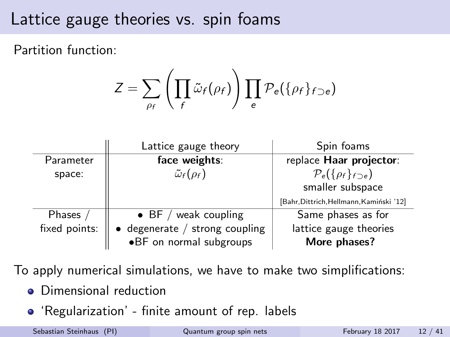### Lattice gauge theories vs. spin foams

Partition function:

$$
Z = \sum_{\rho_f} \left( \prod_f \tilde{\omega}_f(\rho_f) \right) \prod_e \mathcal{P}_e(\{\rho_f\}_{f \supset e})
$$

|               | Lattice gauge theory                   | Spin foams                                   |
|---------------|----------------------------------------|----------------------------------------------|
| Parameter     | face weights:                          | replace Haar projector:                      |
| space:        | $\tilde{\omega}_f(\rho_f)$             | $\mathcal{P}_{e}(\{\rho_{f}\}_{f\supset e})$ |
|               |                                        | smaller subspace                             |
|               |                                        | [Bahr, Dittrich, Hellmann, Kamiński '12]     |
| Phases        | • BF / weak coupling                   | Same phases as for                           |
| fixed points: | $\bullet$ degenerate / strong coupling | lattice gauge theories                       |
|               | .BF on normal subgroups                | More phases?                                 |

To apply numerical simulations, we have to make two simplifications:

- **•** Dimensional reduction
- 'Regularization' finite amount of rep. labels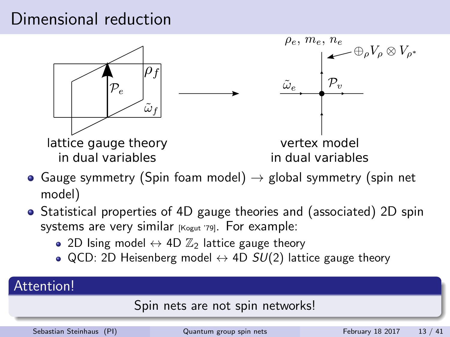# Dimensional reduction



- Gauge symmetry (Spin foam model)  $\rightarrow$  global symmetry (spin net model)
- Statistical properties of 4D gauge theories and (associated) 2D spin systems are very similar [Kogut '79]. For example:
	- 2D Ising model  $\leftrightarrow$  4D  $\mathbb{Z}_2$  lattice gauge theory
	- QCD: 2D Heisenberg model  $\leftrightarrow$  4D  $SU(2)$  lattice gauge theory

#### Attention!

Spin nets are not spin networks!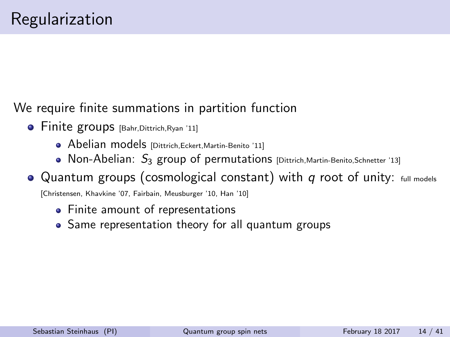#### We require finite summations in partition function

- **Finite groups** [Bahr, Dittrich, Ryan '11]
	- Abelian models [Dittrich, Eckert, Martin-Benito '11]
	- Non-Abelian:  $S_3$  group of permutations [Dittrich, Martin-Benito, Schnetter '13]

#### $\bullet$  Quantum groups (cosmological constant) with q root of unity:  $f_{\text{full models}}$

[Christensen, Khavkine '07, Fairbain, Meusburger '10, Han '10]

- Finite amount of representations
- Same representation theory for all quantum groups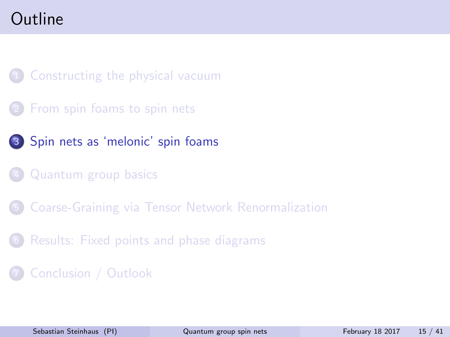# <span id="page-14-0"></span>Outline

[Constructing the physical vacuum](#page-4-0)

**[From spin foams to spin nets](#page-9-0)** 

3 [Spin nets as 'melonic' spin foams](#page-14-0)

4 [Quantum group basics](#page-17-0)

5 [Coarse-Graining via Tensor Network Renormalization](#page-23-0)

6 [Results: Fixed points and phase diagrams](#page-30-0)

7 [Conclusion / Outlook](#page-40-0)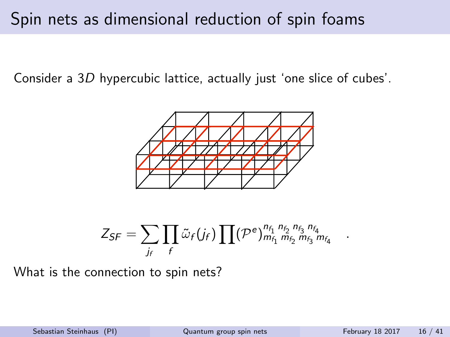### Spin nets as dimensional reduction of spin foams

Consider a 3D hypercubic lattice, actually just 'one slice of cubes'.



$$
Z_{SF} = \sum_{j_f} \prod_f \tilde{\omega}_f(j_f) \prod_{j \in \{1, \ldots, n_f\}} (\mathcal{P}^e)^{n_{f_1} n_{f_2} n_{f_3} n_{f_4}}_{m_{f_1} m_{f_2} m_{f_3} m_{f_4}}
$$

What is the connection to spin nets?

.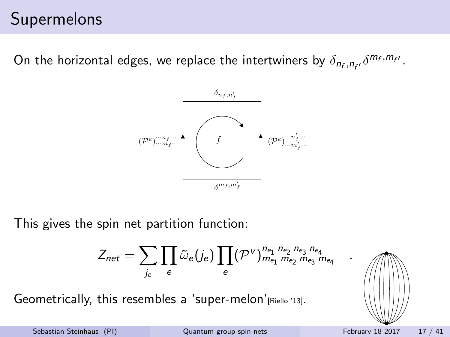## Supermelons

On the horizontal edges, we replace the intertwiners by  $\delta_{n_f,n_{f'}}\delta^{m_f,m_{f'}}.$ 



This gives the spin net partition function:

$$
Z_{net} = \sum_{j_e} \prod_e \tilde{\omega}_e(j_e) \prod_e (\mathcal{P}^{\scriptscriptstyle V})^{n_{e_1}}_{m_{e_1}}{}^{n_{e_2}}{}^{n_{e_3}}{}^{n_{e_4}}_{m_{e_3}}{}^{n_{e_4}}
$$

Geometrically, this resembles a 'super-melon'  $[Relio'13]$ .

Sebastian Steinhaus (PI) **[Quantum group spin nets](#page-0-0)** February 18 2017 17 / 41

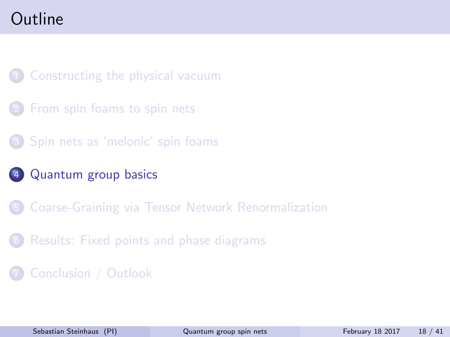# <span id="page-17-0"></span>Outline

[Constructing the physical vacuum](#page-4-0)

- **[From spin foams to spin nets](#page-9-0)**
- 3 [Spin nets as 'melonic' spin foams](#page-14-0)
- 4 [Quantum group basics](#page-17-0)
	- 5 [Coarse-Graining via Tensor Network Renormalization](#page-23-0)
- 6 [Results: Fixed points and phase diagrams](#page-30-0)
- 7 [Conclusion / Outlook](#page-40-0)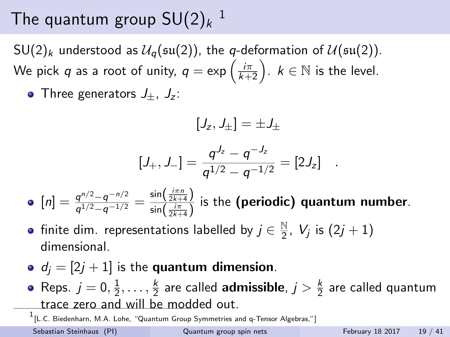# The quantum group  $\mathsf{SU}(2)_k$   $^1$

 $SU(2)_k$  understood as  $\mathcal{U}_q(\mathfrak{su}(2))$ , the q-deformation of  $\mathcal{U}(\mathfrak{su}(2))$ . We pick  $q$  as a root of unity,  $q = \exp\left(\frac{i\pi}{k+2}\right)$ .  $k \in \mathbb{N}$  is the level.

• Three generators  $J_{+}$ ,  $J_{z}$ :

$$
[J_z, J_{\pm}] = \pm J_{\pm}
$$

$$
[J_{+}, J_{-}] = \frac{q^{J_z} - q^{-J_z}}{q^{1/2} - q^{-1/2}} = [2J_z] .
$$

 $[n] = \frac{q^{n/2}-q^{-n/2}}{q^{1/2}-q^{-1/2}}$  $\frac{q^{n/2}-q^{-n/2}}{q^{1/2}-q^{-1/2}} = \frac{\sin(\frac{i\pi n}{2k+4})}{\sin(\frac{i\pi}{2k+4})}$  $\frac{2m(2k+4)}{\sin(\frac{i\pi}{2k+4})}$  is the (periodic) quantum number.

- finite dim. representations labelled by  $j\in\frac{\mathbb{N}}{2}$  $\frac{1}{2}$ ,  $V_j$  is  $(2j + 1)$ dimensional.
- $d_i = [2j + 1]$  is the quantum dimension.
- Reps.  $j=0,\frac{1}{2}$  $\frac{1}{2}, \ldots, \frac{k}{2}$  $\frac{k}{2}$  are called **admissible**,  $j>\frac{k}{2}$  $\frac{k}{2}$  are called quantum trace zero and will be modded out.

<sup>1</sup> [L.C. Biedenharn, M.A. Lohe, "Quantum Group Symmetries and q-Tensor Algebras,"]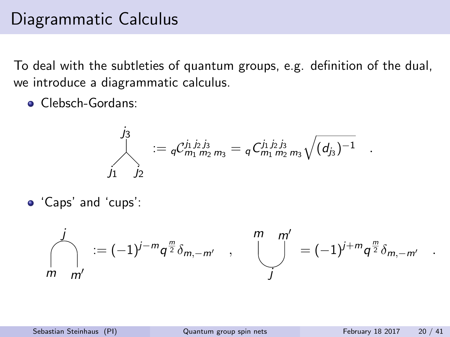# Diagrammatic Calculus

To deal with the subtleties of quantum groups, e.g. definition of the dual, we introduce a diagrammatic calculus.

**•** Clebsch-Gordans:

$$
\int_{j_1}^{j_3} \frac{1}{j_2} = {}_q\mathcal{C}_{m_1\,m_2\,m_3}^{j_1\,j_2\,j_3} = {}_q\mathcal{C}_{m_1\,m_2\,m_3}^{j_1\,j_2\,j_3} \sqrt{(d_{j_3})^{-1}} \quad.
$$

'Caps' and 'cups':

$$
\int_{m}^{j} := (-1)^{j-m} q^{\frac{m}{2}} \delta_{m,-m'}, \qquad \bigcup_{j}^{m} = (-1)^{j+m} q^{\frac{m}{2}} \delta_{m,-m'}.
$$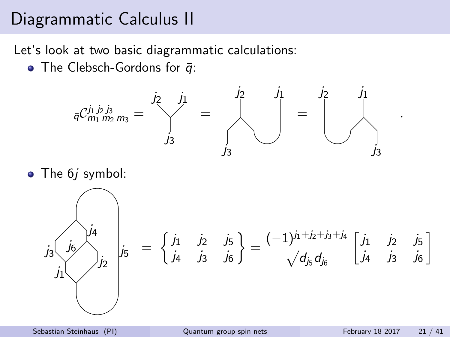### Diagrammatic Calculus II

Let's look at two basic diagrammatic calculations:

 $\bullet$  The Clebsch-Gordons for  $\bar{q}$ :



 $\bullet$  The 6*j* symbol:

$$
j_3
$$
  $j_6$   
 $j_1$   
 $j_2$   
 $j_5$  =  $\begin{Bmatrix} j_1 & j_2 & j_5 \ j_4 & j_3 & j_6 \end{Bmatrix} = \frac{(-1)^{j_1+j_2+j_3+j_4}}{\sqrt{d_{j_5}d_{j_6}}} \begin{bmatrix} j_1 & j_2 & j_5 \ j_4 & j_3 & j_6 \end{bmatrix}$ 

.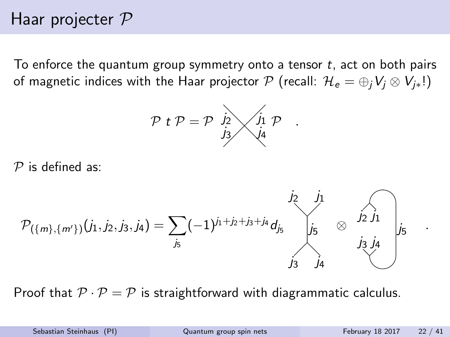#### Haar projecter  $P$

To enforce the quantum group symmetry onto a tensor t, act on both pairs of magnetic indices with the Haar projector P (recall:  $\mathcal{H}_e = \bigoplus_i V_i \otimes V_{i*}!$ )

$$
\mathcal{P} t \mathcal{P} = \mathcal{P} \stackrel{j_2}{\underset{j_3}{\cancel{3}}} \times \stackrel{j_1}{\underset{j_4}{\cancel{1}}} \mathcal{P} .
$$

 $\mathcal{P}$  is defined as:



Proof that  $P \cdot P = P$  is straightforward with diagrammatic calculus.

.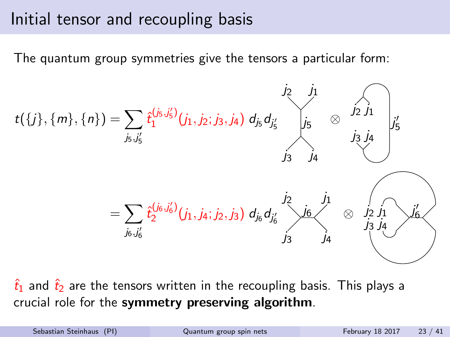#### Initial tensor and recoupling basis

The quantum group symmetries give the tensors a particular form:

$$
t(\{j\}, \{m\}, \{n\}) = \sum_{j_5, j'_5} \hat{t}_1^{(j_5, j'_5)}(j_1, j_2; j_3, j_4) d_{j_5} d_{j'_5} \qquad j_5 \qquad \otimes \qquad j_2 \qquad j_1
$$
  

$$
= \sum_{j_6, j'_6} \hat{t}_2^{(j_6, j'_6)}(j_1, j_4; j_2, j_3) d_{j_6} d_{j'_6} \qquad j_2 \qquad j_1
$$
  

$$
= \sum_{j_6, j'_6} \hat{t}_2^{(j_6, j'_6)}(j_1, j_4; j_2, j_3) d_{j_6} d_{j'_6} \qquad j_3 \qquad j_4
$$

 $\hat{t}_1$  and  $\hat{t}_2$  are the tensors written in the recoupling basis. This plays a crucial role for the symmetry preserving algorithm.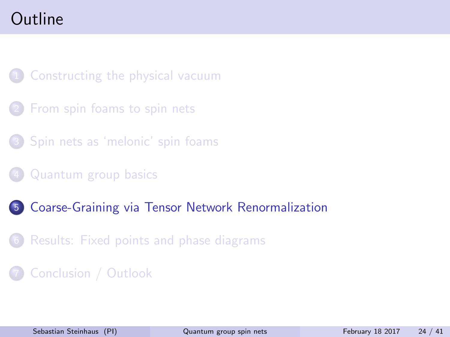# <span id="page-23-0"></span>Outline

[Constructing the physical vacuum](#page-4-0)

- [From spin foams to spin nets](#page-9-0)
- 3 [Spin nets as 'melonic' spin foams](#page-14-0)
- 4 [Quantum group basics](#page-17-0)

#### 5 [Coarse-Graining via Tensor Network Renormalization](#page-23-0)

6 [Results: Fixed points and phase diagrams](#page-30-0)

#### 7 [Conclusion / Outlook](#page-40-0)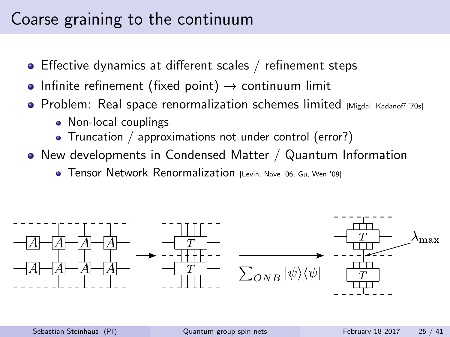### Coarse graining to the continuum

- Effective dynamics at different scales / refinement steps
- Infinite refinement (fixed point)  $\rightarrow$  continuum limit
- **•** Problem: Real space renormalization schemes limited [Migdal, Kadanoff '70s]
	- Non-local couplings
	- Truncation / approximations not under control (error?)
- New developments in Condensed Matter / Quantum Information
	- **Tensor Network Renormalization** [Levin, Nave '06, Gu, Wen '09]

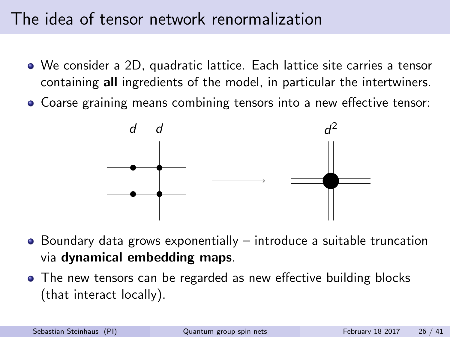### The idea of tensor network renormalization

- We consider a 2D, quadratic lattice. Each lattice site carries a tensor containing all ingredients of the model, in particular the intertwiners.
- Coarse graining means combining tensors into a new effective tensor:



- $\bullet$  Boundary data grows exponentially introduce a suitable truncation via dynamical embedding maps.
- The new tensors can be regarded as new effective building blocks (that interact locally).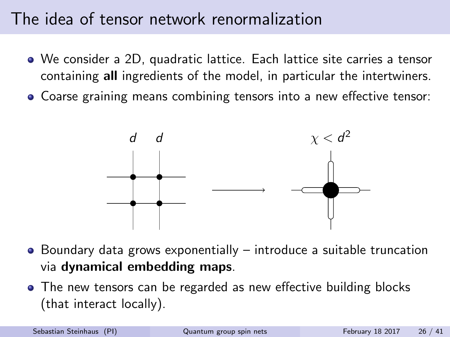### The idea of tensor network renormalization

- We consider a 2D, quadratic lattice. Each lattice site carries a tensor containing all ingredients of the model, in particular the intertwiners.
- Coarse graining means combining tensors into a new effective tensor:



- $\bullet$  Boundary data grows exponentially introduce a suitable truncation via dynamical embedding maps.
- The new tensors can be regarded as new effective building blocks (that interact locally).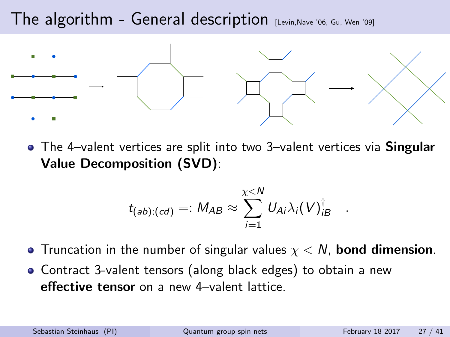### The algorithm - General description  $[Levin, Nave' 06, Gu, Wen'09]$



• The 4-valent vertices are split into two 3-valent vertices via Singular Value Decomposition (SVD):

$$
t_{(ab);(cd)} =: M_{AB} \approx \sum_{i=1}^{\chi < N} U_{Ai} \lambda_i(V)_{iB}^\dagger \quad .
$$

- **•** Truncation in the number of singular values  $x < N$ , **bond dimension**.
- Contract 3-valent tensors (along black edges) to obtain a new effective tensor on a new 4–valent lattice.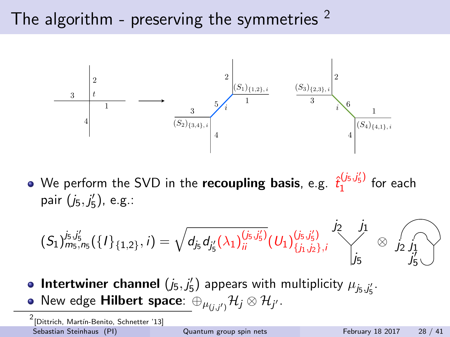# The algorithm - preserving the symmetries  $2$



We perform the SVD in the **recoupling basis**, e.g.  $\hat{t}_{1}^{(j_5,j_5')}$  $1^{(15\sqrt{5})}$  for each pair  $(j_5, j'_5)$ , e.g.:

$$
(S_1)_{m_5,n_5}^{j_5,j_5'}(\{I\}_{\{1,2\}},i)=\sqrt{d_{j_5}d_{j_5'}(\lambda_1)_{ii}^{(j_5,j_5')}}(U_1)_{\{j_1,j_2\},i}^{(j_5,j_5')}\overset{j_2}{\underset{j_5}{\bigcup}}\overset{j_1}{\otimes}
$$

- Intertwiner channel  $(j_5, j'_5)$  appears with multiplicity  $\mu_{j_5, j'_5}$ .
- New edge <code>Hilbert space</code>:  $\oplus_{\mu_{(j,j')}} {\cal H}_j \otimes {\cal H}_{j'}$  .

2<br>[Dittrich, Martín-Benito, Schnetter '13] Sebastian Steinhaus (PI) [Quantum group spin nets](#page-0-0) February 18 2017 28 / 41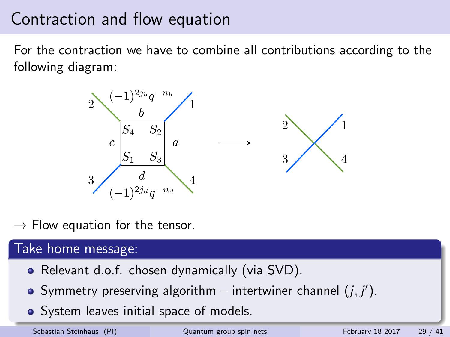# Contraction and flow equation

For the contraction we have to combine all contributions according to the following diagram:



 $\rightarrow$  Flow equation for the tensor.

#### Take home message:

- Relevant d.o.f. chosen dynamically (via SVD).
- Symmetry preserving algorithm intertwiner channel  $(j, j')$ .
- System leaves initial space of models.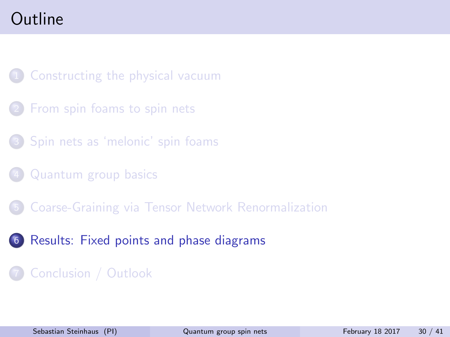# <span id="page-30-0"></span>Outline

[Constructing the physical vacuum](#page-4-0)

- **[From spin foams to spin nets](#page-9-0)**
- 3 [Spin nets as 'melonic' spin foams](#page-14-0)
- 4 [Quantum group basics](#page-17-0)
- 5 [Coarse-Graining via Tensor Network Renormalization](#page-23-0)
- 6 [Results: Fixed points and phase diagrams](#page-30-0)

#### 7 [Conclusion / Outlook](#page-40-0)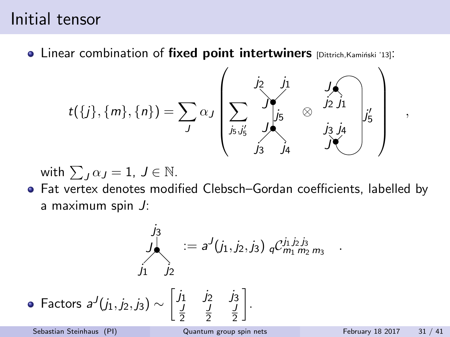#### Initial tensor

**.** Linear combination of fixed point intertwiners [Dittrich, Kamiński '13]:

$$
t({j}, {m}, {n}) = \sum_{J} \alpha_{J} \left( \sum_{j_5, j'_5} \sum_{j_3, j_4}^{j_2, j_1} \otimes \sum_{j_3, j_4}^{j_2, j_1} j_5 \right)
$$

with  $\sum_J \alpha_J = 1, J \in \mathbb{N}$ .

Fat vertex denotes modified Clebsch–Gordan coefficients, labelled by a maximum spin J:

$$
j_1^j := a^J(j_1, j_2, j_3) \, q^{j_1, j_2, j_3} \, q^{j_1, j_2, j_3}
$$
\n
$$
j_1 \quad j_2
$$
\nFactors  $a^J(j_1, j_2, j_3) \sim \left[\begin{array}{ccc} j_1 & j_2 & j_3 \\ \frac{J}{2} & \frac{J}{2} & \frac{J}{2} \end{array}\right].$ 

2

2

2

.

,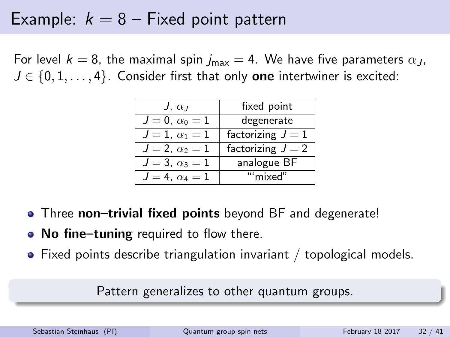#### Example:  $k = 8$  – Fixed point pattern

For level  $k = 8$ , the maximal spin  $j_{max} = 4$ . We have five parameters  $\alpha_{1}$ ,  $J \in \{0, 1, \ldots, 4\}$ . Consider first that only **one** intertwiner is excited:

| $J, \alpha_J$         | fixed point         |  |  |
|-----------------------|---------------------|--|--|
| $J=0, \alpha_0=1$     | degenerate          |  |  |
| $J=1, \alpha_1=1$     | factorizing $J=1$   |  |  |
| $J = 2, \alpha_2 = 1$ | factorizing $J = 2$ |  |  |
| $J = 3, \alpha_3 = 1$ | analogue BF         |  |  |
| $J = 4, \alpha_4 = 1$ | "'mixed"            |  |  |

- Three non-trivial fixed points beyond BF and degenerate!
- No fine-tuning required to flow there.
- Fixed points describe triangulation invariant / topological models.

Pattern generalizes to other quantum groups.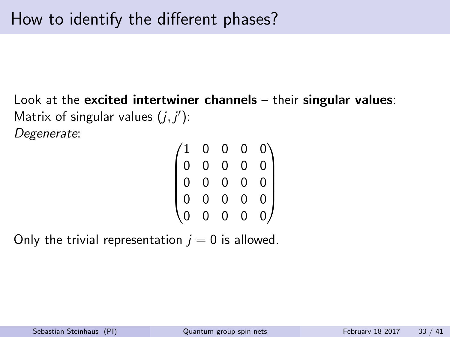Look at the excited intertwiner channels – their singular values: Matrix of singular values  $(j, j')$ :

Degenerate:

| $\begin{matrix} 1 \ 0 \end{matrix}$ | $\overline{0}$ |                                      | 0              |   |
|-------------------------------------|----------------|--------------------------------------|----------------|---|
|                                     | $\overline{0}$ | $\begin{matrix} 0 \\ 0 \end{matrix}$ | 0              | Ó |
| $\overline{0}$                      | $\overline{0}$ | $\overline{0}$                       | 0              |   |
| $\overline{0}$                      | $\overline{0}$ | $\frac{1}{0}$                        | 0              | O |
|                                     | $\overline{0}$ | $\overline{0}$                       | $\overline{0}$ | 0 |

Only the trivial representation  $j = 0$  is allowed.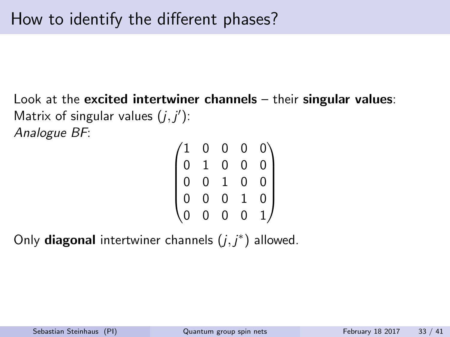Look at the excited intertwiner channels – their singular values: Matrix of singular values  $(j, j')$ : Analogue BF:

| $\mathbf 1$    | 0              | 0                                      | 0 | 0 |
|----------------|----------------|----------------------------------------|---|---|
| $\overline{0}$ | $\overline{1}$ | $\overline{0}$                         | 0 | 0 |
| $\overline{0}$ | $\overline{0}$ | $\begin{bmatrix} 1 \\ 0 \end{bmatrix}$ | 0 | Ó |
| Ō              | Ō              |                                        |   | Ó |
|                | 0              | 0                                      | 0 |   |

Only diagonal intertwiner channels  $(j, j^*)$  allowed.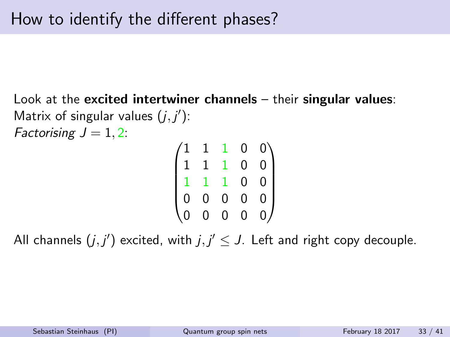Look at the excited intertwiner channels – their singular values: Matrix of singular values  $(j, j')$ :

Factorising  $J = 1, 2$ :

 $\sqrt{ }$  $\overline{\phantom{a}}$ 1 1 1 0 0 1 1 1 0 0 1 1 1 0 0 0 0 0 0 0 0 0 0 0 0  $\setminus$  $\begin{array}{c} \hline \end{array}$ 

All channels  $(j, j')$  excited, with  $j, j' \leq J$ . Left and right copy decouple.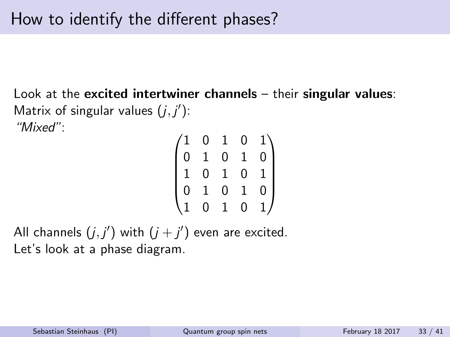Look at the excited intertwiner channels – their singular values: Matrix of singular values  $(j, j')$ : "Mixed":

| $\begin{array}{c} \n \sqrt{1} \\ 0\n \end{array}$ | $\overline{0}$ |                                        | 0            | $1\setminus$   |
|---------------------------------------------------|----------------|----------------------------------------|--------------|----------------|
|                                                   | $\overline{1}$ | $\begin{matrix}1\0\end{matrix}$        | $\mathbf{1}$ | $\overline{0}$ |
| $\mathbf 1$                                       | $\overline{0}$ | $\begin{bmatrix} 1 \\ 0 \end{bmatrix}$ | 0            | $\mathbf 1$    |
| $\overline{0}$                                    | $\mathbf{1}$   |                                        | $\mathbf{1}$ | $\overline{0}$ |
|                                                   | $\overline{0}$ | 1                                      | 0            |                |

All channels  $(j, j')$  with  $(j + j')$  even are excited. Let's look at a phase diagram.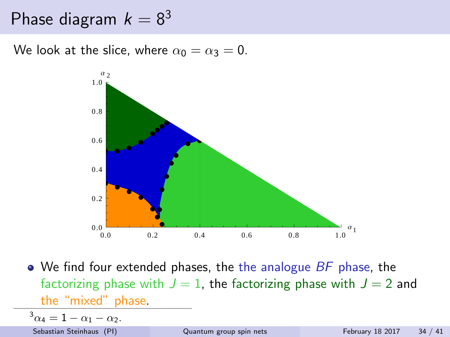# Phase diagram  $k = 8^3$

We look at the slice, where  $\alpha_0 = \alpha_3 = 0$ .



 $\bullet$  We find four extended phases, the the analogue BF phase, the factorizing phase with  $J = 1$ , the factorizing phase with  $J = 2$  and the "mixed" phase.

 $^3\alpha_4=1-\alpha_1-\alpha_2.$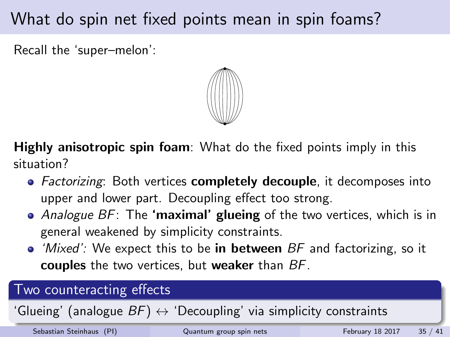# What do spin net fixed points mean in spin foams?

Recall the 'super–melon':



**Highly anisotropic spin foam:** What do the fixed points imply in this situation?

- Factorizing: Both vertices **completely decouple**, it decomposes into upper and lower part. Decoupling effect too strong.
- Analogue  $BF$ : The **'maximal' glueing** of the two vertices, which is in general weakened by simplicity constraints.
- $\bullet$  'Mixed': We expect this to be in between BF and factorizing, so it couples the two vertices, but weaker than BF.

#### Two counteracting effects

'Glueing' (analogue  $BF$ )  $\leftrightarrow$  'Decoupling' via simplicity constraints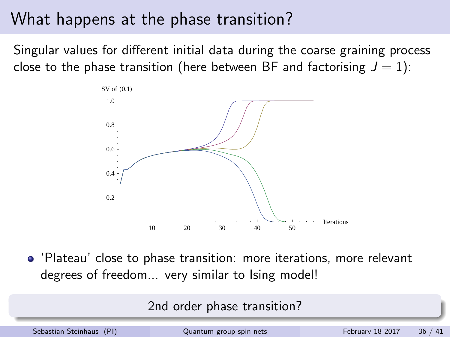### What happens at the phase transition?

Singular values for different initial data during the coarse graining process close to the phase transition (here between BF and factorising  $J = 1$ ):



'Plateau' close to phase transition: more iterations, more relevant degrees of freedom... very similar to Ising model!

2nd order phase transition?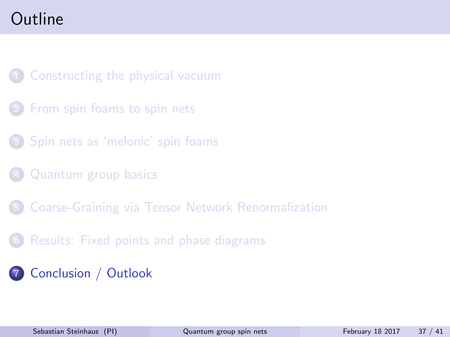# <span id="page-40-0"></span>Outline

[Constructing the physical vacuum](#page-4-0)

- [From spin foams to spin nets](#page-9-0)
- 3 [Spin nets as 'melonic' spin foams](#page-14-0)
- 4 [Quantum group basics](#page-17-0)
- 5 [Coarse-Graining via Tensor Network Renormalization](#page-23-0)
- 6 [Results: Fixed points and phase diagrams](#page-30-0)

#### 7 [Conclusion / Outlook](#page-40-0)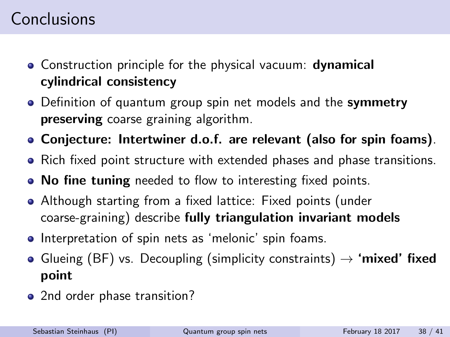# Conclusions

- Construction principle for the physical vacuum: **dynamical** cylindrical consistency
- Definition of quantum group spin net models and the symmetry preserving coarse graining algorithm.
- Conjecture: Intertwiner d.o.f. are relevant (also for spin foams).
- Rich fixed point structure with extended phases and phase transitions.
- No fine tuning needed to flow to interesting fixed points.
- Although starting from a fixed lattice: Fixed points (under coarse-graining) describe fully triangulation invariant models
- **•** Interpretation of spin nets as 'melonic' spin foams.
- Glueing (BF) vs. Decoupling (simplicity constraints)  $\rightarrow$  'mixed' fixed point
- 2nd order phase transition?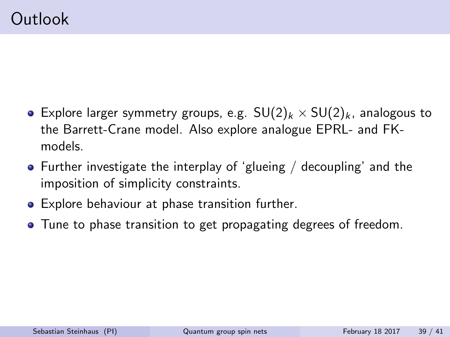- Explore larger symmetry groups, e.g.  $SU(2)_k \times SU(2)_k$ , analogous to the Barrett-Crane model. Also explore analogue EPRL- and FKmodels.
- Further investigate the interplay of 'glueing / decoupling' and the imposition of simplicity constraints.
- Explore behaviour at phase transition further.
- Tune to phase transition to get propagating degrees of freedom.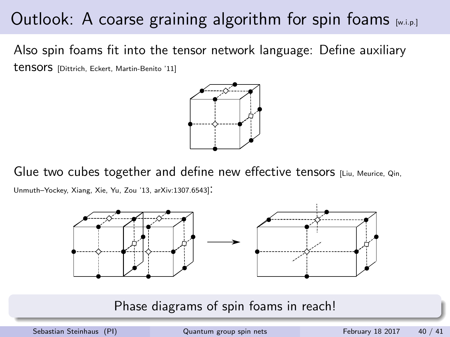### Outlook: A coarse graining algorithm for spin foams  $\mu_{1}$ .

Also spin foams fit into the tensor network language: Define auxiliary

tensors [Dittrich, Eckert, Martin-Benito '11]



Glue two cubes together and define new effective tensors [Liu, Meurice, Qin,

Unmuth–Yockey, Xiang, Xie, Yu, Zou '13, arXiv:1307.6543]:



Phase diagrams of spin foams in reach!